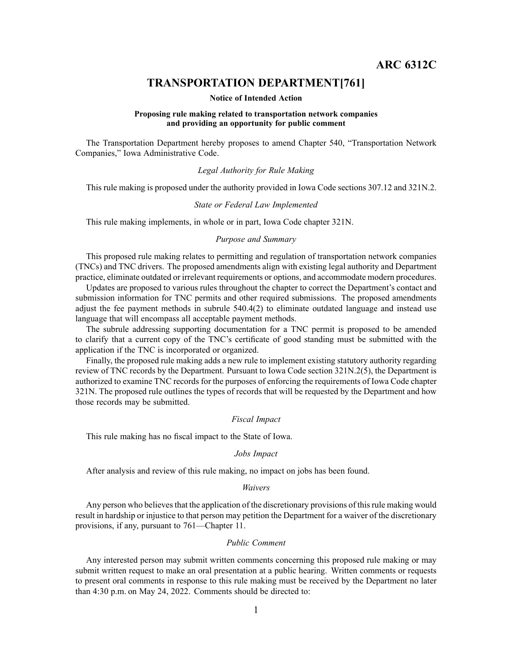**ARC 6312C**

# **TRANSPORTATION DEPARTMENT[761]**

#### **Notice of Intended Action**

## **Proposing rule making related to transportation network companies and providing an opportunity for public comment**

The Transportation Department hereby proposes to amend Chapter 540, "Transportation Network Companies," Iowa Administrative Code.

## *Legal Authority for Rule Making*

This rule making is proposed under the authority provided in Iowa Code sections 307.12 and 321N.2.

#### *State or Federal Law Implemented*

This rule making implements, in whole or in part, Iowa Code chapter 321N.

# *Purpose and Summary*

This proposed rule making relates to permitting and regulation of transportation network companies (TNCs) and TNC drivers. The proposed amendments align with existing legal authority and Department practice, eliminate outdated or irrelevant requirements or options, and accommodate modern procedures.

Updates are proposed to various rules throughout the chapter to correct the Department's contact and submission information for TNC permits and other required submissions. The proposed amendments adjust the fee paymen<sup>t</sup> methods in subrule 540.4(2) to eliminate outdated language and instead use language that will encompass all acceptable paymen<sup>t</sup> methods.

The subrule addressing supporting documentation for <sup>a</sup> TNC permit is proposed to be amended to clarify that <sup>a</sup> current copy of the TNC's certificate of good standing must be submitted with the application if the TNC is incorporated or organized.

Finally, the proposed rule making adds <sup>a</sup> new rule to implement existing statutory authority regarding review of TNC records by the Department. Pursuant to Iowa Code section 321N.2(5), the Department is authorized to examine TNC records for the purposes of enforcing the requirements of Iowa Code chapter 321N. The proposed rule outlines the types of records that will be requested by the Department and how those records may be submitted.

#### *Fiscal Impact*

This rule making has no fiscal impact to the State of Iowa.

#### *Jobs Impact*

After analysis and review of this rule making, no impact on jobs has been found.

#### *Waivers*

Any person who believes that the application of the discretionary provisions of this rule making would result in hardship or injustice to that person may petition the Department for <sup>a</sup> waiver of the discretionary provisions, if any, pursuan<sup>t</sup> to 761—Chapter 11.

## *Public Comment*

Any interested person may submit written comments concerning this proposed rule making or may submit written reques<sup>t</sup> to make an oral presentation at <sup>a</sup> public hearing. Written comments or requests to presen<sup>t</sup> oral comments in response to this rule making must be received by the Department no later than 4:30 p.m. on May 24, 2022. Comments should be directed to: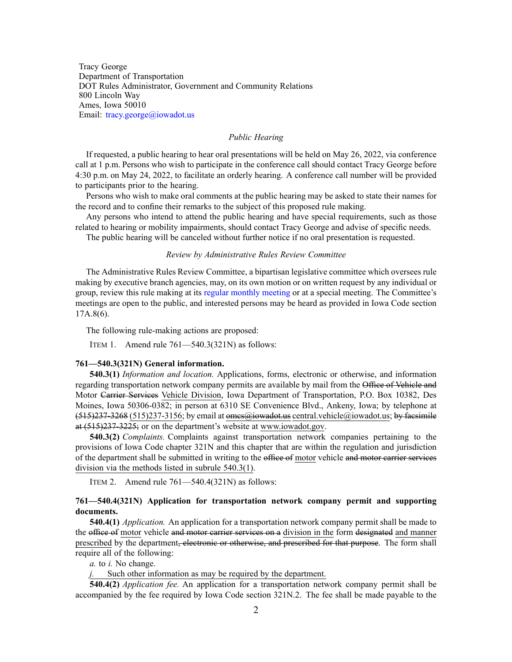Tracy George Department of Transportation DOT Rules Administrator, Government and Community Relations 800 Lincoln Way Ames, Iowa 50010 Email: [tracy.george@iowadot.us](mailto:tracy.george@iowadot.us)

## *Public Hearing*

If requested, <sup>a</sup> public hearing to hear oral presentations will be held on May 26, 2022, via conference call at 1 p.m. Persons who wish to participate in the conference call should contact Tracy George before 4:30 p.m. on May 24, 2022, to facilitate an orderly hearing. A conference call number will be provided to participants prior to the hearing.

Persons who wish to make oral comments at the public hearing may be asked to state their names for the record and to confine their remarks to the subject of this proposed rule making.

Any persons who intend to attend the public hearing and have special requirements, such as those related to hearing or mobility impairments, should contact Tracy George and advise of specific needs.

The public hearing will be canceled without further notice if no oral presentation is requested.

## *Review by Administrative Rules Review Committee*

The Administrative Rules Review Committee, <sup>a</sup> bipartisan legislative committee which oversees rule making by executive branch agencies, may, on its own motion or on written reques<sup>t</sup> by any individual or group, review this rule making at its regular [monthly](https://www.legis.iowa.gov/committees/meetings/meetingsListComm?groupID=705&ga=89) meeting or at <sup>a</sup> special meeting. The Committee's meetings are open to the public, and interested persons may be heard as provided in Iowa Code section 17A.8(6).

The following rule-making actions are proposed:

ITEM 1. Amend rule 761—540.3(321N) as follows:

#### **761—540.3(321N) General information.**

**540.3(1)** *Information and location.* Applications, forms, electronic or otherwise, and information regarding transportation network company permits are available by mail from the Office of Vehicle and Motor Carrier Services Vehicle Division, Iowa Department of Transportation, P.O. Box 10382, Des Moines, Iowa 50306-0382; in person at 6310 SE Convenience Blvd., Ankeny, Iowa; by telephone at  $(515)237-3268$  (515)237-3156; by email at omes $@i$  owned the central vehicle  $@i$  owned these imilarity at (515)237-3225; or on the department's website at [www.iowadot.gov](http://www.iowadot.gov).

**540.3(2)** *Complaints.* Complaints against transportation network companies pertaining to the provisions of Iowa Code chapter [321N](https://www.legis.iowa.gov/docs/ico/chapter/2017/321N.pdf) and this chapter that are within the regulation and jurisdiction of the department shall be submitted in writing to the office of motor vehicle and motor carrier services division via the methods listed in subrule [540.3\(1\)](https://www.legis.iowa.gov/docs/iac/rule/761.540.3.pdf).

ITEM 2. Amend rule 761—540.4(321N) as follows:

# **761—540.4(321N) Application for transportation network company permit and supporting documents.**

**540.4(1)** *Application.* An application for <sup>a</sup> transportation network company permit shall be made to the office of motor vehicle and motor carrier services on a division in the form designated and manner prescribed by the department<del>, electronic or otherwise, and prescribed for that purpose</del>. The form shall require all of the following:

*a.* to *i.* No change.

Such other information as may be required by the department.

**540.4(2)** *Application fee.* An application for <sup>a</sup> transportation network company permit shall be accompanied by the fee required by Iowa Code section [321N.2](https://www.legis.iowa.gov/docs/ico/section/2017/321N.2.pdf). The fee shall be made payable to the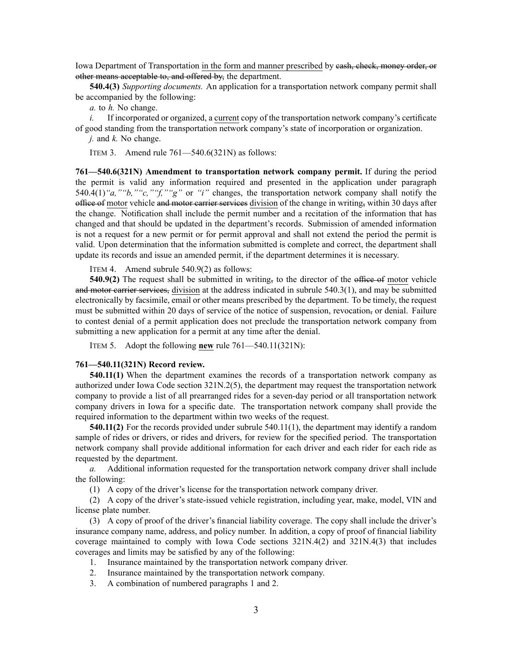Iowa Department of Transportation in the form and manner prescribed by cash, check, money order, or other means acceptable to, and offered by, the department.

**540.4(3)** *Supporting documents.* An application for <sup>a</sup> transportation network company permit shall be accompanied by the following:

*a.* to *h.* No change.

*i.* If incorporated or organized, a current copy of the transportation network company's certificate of good standing from the transportation network company's state of incorporation or organization.

*j.* and *k.* No change.

ITEM 3. Amend rule 761—540.6(321N) as follows:

**761—540.6(321N) Amendment to transportation network company permit.** If during the period the permit is valid any information required and presented in the application under [paragrap](https://www.legis.iowa.gov/docs/iac/rule/761.540.4.pdf)h [540.4\(1\)](https://www.legis.iowa.gov/docs/iac/rule/761.540.4.pdf)*"a,""b,""c,""f,""g"* or *"i"* changes, the transportation network company shall notify the office of motor vehicle and motor carrier services division of the change in writing, within 30 days after the change. Notification shall include the permit number and <sup>a</sup> recitation of the information that has changed and that should be updated in the department's records. Submission of amended information is not <sup>a</sup> reques<sup>t</sup> for <sup>a</sup> new permit or for permit approval and shall not extend the period the permit is valid. Upon determination that the information submitted is complete and correct, the department shall update its records and issue an amended permit, if the department determines it is necessary.

ITEM 4. Amend subrule 540.9(2) as follows:

**540.9(2)** The request shall be submitted in writing, to the director of the office of motor vehicle and motor carrier services, division at the address indicated in subrule [540.3\(1\)](https://www.legis.iowa.gov/docs/iac/rule/761.540.3.pdf), and may be submitted electronically by facsimile, email or other means prescribed by the department. To be timely, the reques<sup>t</sup> must be submitted within 20 days of service of the notice of suspension, revocation, or denial. Failure to contest denial of <sup>a</sup> permit application does not preclude the transportation network company from submitting <sup>a</sup> new application for <sup>a</sup> permit at any time after the denial.

ITEM 5. Adopt the following **new** rule 761—540.11(321N):

## **761—540.11(321N) Record review.**

**540.11(1)** When the department examines the records of <sup>a</sup> transportation network company as authorized under Iowa Code section [321N.2\(5\)](https://www.legis.iowa.gov/docs/ico/section/321N.2.pdf), the department may reques<sup>t</sup> the transportation network company to provide <sup>a</sup> list of all prearranged rides for <sup>a</sup> seven-day period or all transportation network company drivers in Iowa for <sup>a</sup> specific date. The transportation network company shall provide the required information to the department within two weeks of the request.

**540.11(2)** For the records provided under subrule [540.11\(1\)](https://www.legis.iowa.gov/docs/iac/rule/761.540.11.pdf), the department may identify <sup>a</sup> random sample of rides or drivers, or rides and drivers, for review for the specified period. The transportation network company shall provide additional information for each driver and each rider for each ride as requested by the department.

*a.* Additional information requested for the transportation network company driver shall include the following:

(1) A copy of the driver's license for the transportation network company driver.

(2) A copy of the driver's state-issued vehicle registration, including year, make, model, VIN and license plate number.

(3) A copy of proof of the driver's financial liability coverage. The copy shall include the driver's insurance company name, address, and policy number. In addition, <sup>a</sup> copy of proof of financial liability coverage maintained to comply with Iowa Code sections [321N.4\(2\)](https://www.legis.iowa.gov/docs/ico/section/321N.4.pdf) and [321N.4\(3\)](https://www.legis.iowa.gov/docs/ico/section/321N.4.pdf) that includes coverages and limits may be satisfied by any of the following:

- 1. Insurance maintained by the transportation network company driver.
- 2. Insurance maintained by the transportation network company.
- 3. A combination of numbered paragraphs 1 and 2.